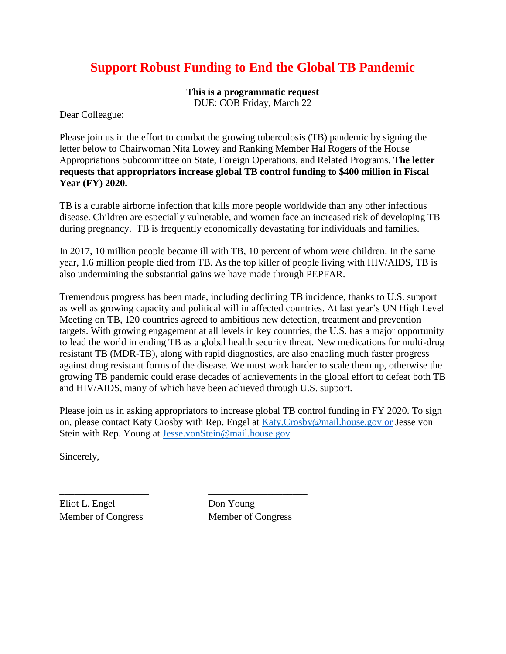## **Support Robust Funding to End the Global TB Pandemic**

**This is a programmatic request** DUE: COB Friday, March 22

Dear Colleague:

Please join us in the effort to combat the growing tuberculosis (TB) pandemic by signing the letter below to Chairwoman Nita Lowey and Ranking Member Hal Rogers of the House Appropriations Subcommittee on State, Foreign Operations, and Related Programs. **The letter requests that appropriators increase global TB control funding to \$400 million in Fiscal Year (FY) 2020.**

TB is a curable airborne infection that kills more people worldwide than any other infectious disease. Children are especially vulnerable, and women face an increased risk of developing TB during pregnancy. TB is frequently economically devastating for individuals and families.

In 2017, 10 million people became ill with TB, 10 percent of whom were children. In the same year, 1.6 million people died from TB. As the top killer of people living with HIV/AIDS, TB is also undermining the substantial gains we have made through PEPFAR.

Tremendous progress has been made, including declining TB incidence, thanks to U.S. support as well as growing capacity and political will in affected countries. At last year's UN High Level Meeting on TB, 120 countries agreed to ambitious new detection, treatment and prevention targets. With growing engagement at all levels in key countries, the U.S. has a major opportunity to lead the world in ending TB as a global health security threat. New medications for multi-drug resistant TB (MDR-TB), along with rapid diagnostics, are also enabling much faster progress against drug resistant forms of the disease. We must work harder to scale them up, otherwise the growing TB pandemic could erase decades of achievements in the global effort to defeat both TB and HIV/AIDS, many of which have been achieved through U.S. support.

Please join us in asking appropriators to increase global TB control funding in FY 2020. To sign on, please contact Katy Crosby with Rep. Engel at [Katy.Crosby@mail.house.gov](mailto:Katy.Crosby@mail.house.gov) or Jesse von Stein with Rep. Young at [Jesse.vonStein@mail.house.gov](mailto:Jesse.vonStein@mail.house.gov)

Sincerely,

Eliot L. Engel Don Young

Member of Congress Member of Congress

\_\_\_\_\_\_\_\_\_\_\_\_\_\_\_\_\_\_ \_\_\_\_\_\_\_\_\_\_\_\_\_\_\_\_\_\_\_\_